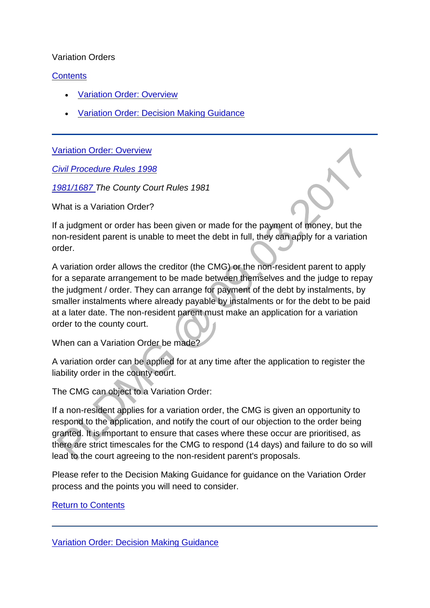#### Variation Orders

### **[Contents](http://np-cmg-sharepoint.link2.gpn.gov.uk/sites/policy-law-and-decision-making-guidance/Pages/Legal%20Enforcement%20-%20England%20and%20Wales/Variation-Order.aspx)**

- [Variation Order: Overview](http://np-cmg-sharepoint.link2.gpn.gov.uk/sites/policy-law-and-decision-making-guidance/Pages/Legal%20Enforcement%20-%20England%20and%20Wales/Variation-Order.aspx#VariationOrderoverview)
- [Variation Order: Decision Making Guidance](http://np-cmg-sharepoint.link2.gpn.gov.uk/sites/policy-law-and-decision-making-guidance/Pages/Legal%20Enforcement%20-%20England%20and%20Wales/Variation-Order.aspx#VariationOrderDMG)

[Variation Order: Overview](http://np-cmg-sharepoint.link2.gpn.gov.uk/sites/policy-law-and-decision-making-guidance/Pages/Legal%20Enforcement%20-%20England%20and%20Wales/Variation-Order.aspx)

*[Civil Procedure Rules 1998](https://www.justice.gov.uk/courts/procedure-rules/civil/rules)*

*[1981/1687 T](http://www.legislation.gov.uk/uksi/1981/1687/contents/made)he County Court Rules 1981*

What is a Variation Order?

If a judgment or order has been given or made for the payment of money, but the non-resident parent is unable to meet the debt in full, they can apply for a variation order.

A variation order allows the creditor (the CMG) or the non-resident parent to apply for a separate arrangement to be made between themselves and the judge to repay the judgment / order. They can arrange for payment of the debt by instalments, by smaller instalments where already payable by instalments or for the debt to be paid at a later date. The non-resident parent must make an application for a variation order to the county court.

When can a Variation Order be made?

A variation order can be applied for at any time after the application to register the liability order in the county court.

The CMG can object to a Variation Order:

If a non-resident applies for a variation order, the CMG is given an opportunity to respond to the application, and notify the court of our objection to the order being granted. It is important to ensure that cases where these occur are prioritised, as there are strict timescales for the CMG to respond (14 days) and failure to do so will lead to the court agreeing to the non-resident parent's proposals.

Please refer to the Decision Making Guidance for guidance on the Variation Order process and the points you will need to consider.

[Return to Contents](http://np-cmg-sharepoint.link2.gpn.gov.uk/sites/policy-law-and-decision-making-guidance/Pages/Legal%20Enforcement%20-%20England%20and%20Wales/Variation-Order.aspx#VOcontents)

[Variation Order: Decision Making Guidance](http://np-cmg-sharepoint.link2.gpn.gov.uk/sites/policy-law-and-decision-making-guidance/Pages/Legal%20Enforcement%20-%20England%20and%20Wales/Variation-Order.aspx)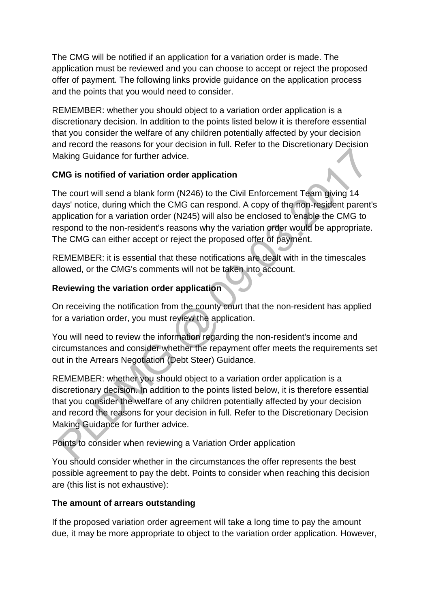The CMG will be notified if an application for a variation order is made. The application must be reviewed and you can choose to accept or reject the proposed offer of payment. The following links provide guidance on the application process and the points that you would need to consider.

REMEMBER: whether you should object to a variation order application is a discretionary decision. In addition to the points listed below it is therefore essential that you consider the welfare of any children potentially affected by your decision and record the reasons for your decision in full. Refer to the Discretionary Decision Making Guidance for further advice.

# **CMG is notified of variation order application**

The court will send a blank form (N246) to the Civil Enforcement Team giving 14 days' notice, during which the CMG can respond. A copy of the non-resident parent's application for a variation order (N245) will also be enclosed to enable the CMG to respond to the non-resident's reasons why the variation order would be appropriate. The CMG can either accept or reject the proposed offer of payment.

REMEMBER: it is essential that these notifications are dealt with in the timescales allowed, or the CMG's comments will not be taken into account.

# **Reviewing the variation order application**

On receiving the notification from the county court that the non-resident has applied for a variation order, you must review the application.

You will need to review the information regarding the non-resident's income and circumstances and consider whether the repayment offer meets the requirements set out in the Arrears Negotiation (Debt Steer) Guidance.

REMEMBER: whether you should object to a variation order application is a discretionary decision. In addition to the points listed below, it is therefore essential that you consider the welfare of any children potentially affected by your decision and record the reasons for your decision in full. Refer to the Discretionary Decision Making Guidance for further advice.

Points to consider when reviewing a Variation Order application

You should consider whether in the circumstances the offer represents the best possible agreement to pay the debt. Points to consider when reaching this decision are (this list is not exhaustive):

# **The amount of arrears outstanding**

If the proposed variation order agreement will take a long time to pay the amount due, it may be more appropriate to object to the variation order application. However,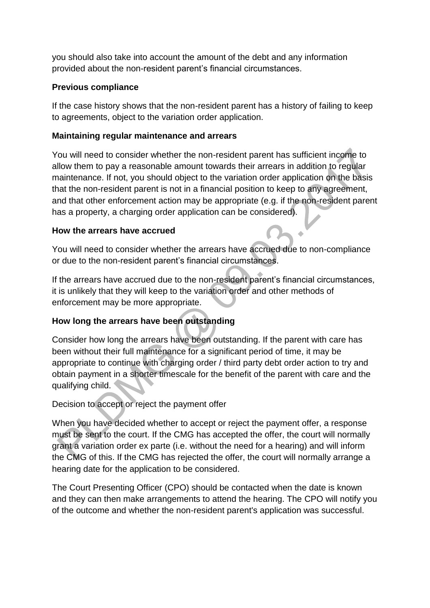you should also take into account the amount of the debt and any information provided about the non-resident parent's financial circumstances.

### **Previous compliance**

If the case history shows that the non-resident parent has a history of failing to keep to agreements, object to the variation order application.

### **Maintaining regular maintenance and arrears**

You will need to consider whether the non-resident parent has sufficient income to allow them to pay a reasonable amount towards their arrears in addition to regular maintenance. If not, you should object to the variation order application on the basis that the non-resident parent is not in a financial position to keep to any agreement, and that other enforcement action may be appropriate (e.g. if the non-resident parent has a property, a charging order application can be considered).

### **How the arrears have accrued**

You will need to consider whether the arrears have accrued due to non-compliance or due to the non-resident parent's financial circumstances.

If the arrears have accrued due to the non-resident parent's financial circumstances, it is unlikely that they will keep to the variation order and other methods of enforcement may be more appropriate.

# **How long the arrears have been outstanding**

Consider how long the arrears have been outstanding. If the parent with care has been without their full maintenance for a significant period of time, it may be appropriate to continue with charging order / third party debt order action to try and obtain payment in a shorter timescale for the benefit of the parent with care and the qualifying child.

Decision to accept or reject the payment offer

When you have decided whether to accept or reject the payment offer, a response must be sent to the court. If the CMG has accepted the offer, the court will normally grant a variation order ex parte (i.e. without the need for a hearing) and will inform the CMG of this. If the CMG has rejected the offer, the court will normally arrange a hearing date for the application to be considered.

The Court Presenting Officer (CPO) should be contacted when the date is known and they can then make arrangements to attend the hearing. The CPO will notify you of the outcome and whether the non-resident parent's application was successful.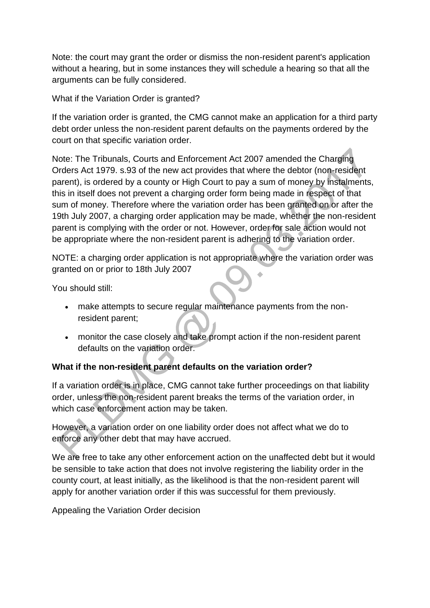Note: the court may grant the order or dismiss the non-resident parent's application without a hearing, but in some instances they will schedule a hearing so that all the arguments can be fully considered.

What if the Variation Order is granted?

If the variation order is granted, the CMG cannot make an application for a third party debt order unless the non-resident parent defaults on the payments ordered by the court on that specific variation order.

Note: The Tribunals, Courts and Enforcement Act 2007 amended the Charging Orders Act 1979. s.93 of the new act provides that where the debtor (non-resident parent), is ordered by a county or High Court to pay a sum of money by instalments, this in itself does not prevent a charging order form being made in respect of that sum of money. Therefore where the variation order has been granted on or after the 19th July 2007, a charging order application may be made, whether the non-resident parent is complying with the order or not. However, order for sale action would not be appropriate where the non-resident parent is adhering to the variation order.

NOTE: a charging order application is not appropriate where the variation order was granted on or prior to 18th July 2007

You should still:

- make attempts to secure regular maintenance payments from the nonresident parent;
- monitor the case closely and take prompt action if the non-resident parent defaults on the variation order.

### **What if the non-resident parent defaults on the variation order?**

If a variation order is in place, CMG cannot take further proceedings on that liability order, unless the non-resident parent breaks the terms of the variation order, in which case enforcement action may be taken.

However, a variation order on one liability order does not affect what we do to enforce any other debt that may have accrued.

We are free to take any other enforcement action on the unaffected debt but it would be sensible to take action that does not involve registering the liability order in the county court, at least initially, as the likelihood is that the non-resident parent will apply for another variation order if this was successful for them previously.

Appealing the Variation Order decision